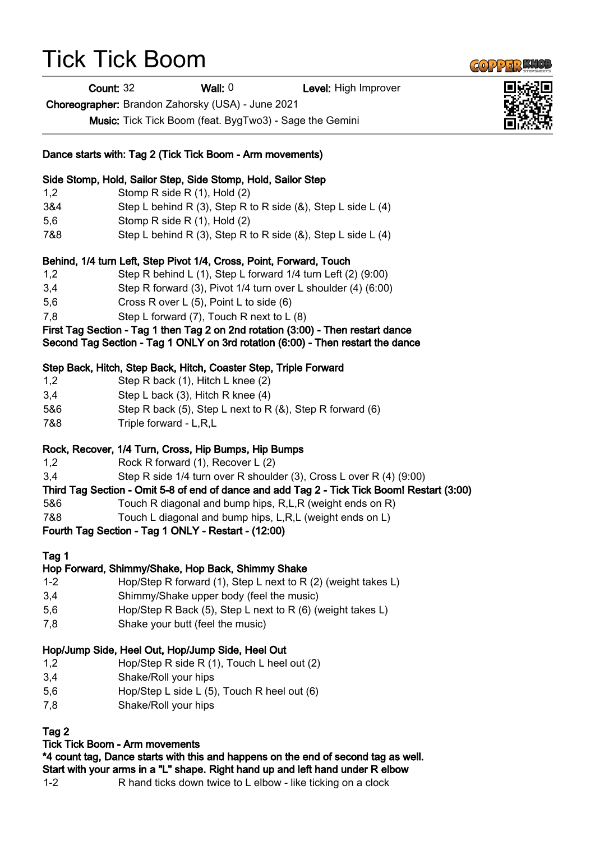## Tick Tick Boom

Count: 32 Wall: 0 Level: High Improver

Choreographer: Brandon Zahorsky (USA) - June 2021

Music: Tick Tick Boom (feat. BygTwo3) - Sage the Gemini

|         | Dance starts with: Tag 2 (Tick Tick Boom - Arm movements)                                                                                                           |
|---------|---------------------------------------------------------------------------------------------------------------------------------------------------------------------|
|         | Side Stomp, Hold, Sailor Step, Side Stomp, Hold, Sailor Step                                                                                                        |
| 1,2     | Stomp R side R (1), Hold (2)                                                                                                                                        |
| 3&4     | Step L behind R $(3)$ , Step R to R side $(8)$ , Step L side L $(4)$                                                                                                |
| 5,6     | Stomp R side R (1), Hold (2)                                                                                                                                        |
| 7&8     | Step L behind R (3), Step R to R side $(8)$ , Step L side L $(4)$                                                                                                   |
|         | Behind, 1/4 turn Left, Step Pivot 1/4, Cross, Point, Forward, Touch                                                                                                 |
| 1,2     | Step R behind L $(1)$ , Step L forward $1/4$ turn Left $(2)$ $(9:00)$                                                                                               |
| 3,4     | Step R forward (3), Pivot 1/4 turn over L shoulder (4) (6:00)                                                                                                       |
| 5,6     | Cross R over L (5), Point L to side (6)                                                                                                                             |
| 7,8     | Step L forward (7), Touch R next to L (8)                                                                                                                           |
|         | First Tag Section - Tag 1 then Tag 2 on 2nd rotation (3:00) - Then restart dance<br>Second Tag Section - Tag 1 ONLY on 3rd rotation (6:00) - Then restart the dance |
|         | Step Back, Hitch, Step Back, Hitch, Coaster Step, Triple Forward                                                                                                    |
| 1,2     | Step R back (1), Hitch L knee (2)                                                                                                                                   |
| 3,4     | Step L back (3), Hitch R knee (4)                                                                                                                                   |
| 5&6     | Step R back (5), Step L next to R $(8)$ , Step R forward $(6)$                                                                                                      |
| 7&8     | Triple forward - L,R,L                                                                                                                                              |
|         | Rock, Recover, 1/4 Turn, Cross, Hip Bumps, Hip Bumps                                                                                                                |
| 1,2     | Rock R forward (1), Recover L (2)                                                                                                                                   |
| 3,4     | Step R side 1/4 turn over R shoulder (3), Cross L over R (4) (9:00)                                                                                                 |
|         | Third Tag Section - Omit 5-8 of end of dance and add Tag 2 - Tick Tick Boom! Restart (3:00)                                                                         |
| 5&6     | Touch R diagonal and bump hips, R,L,R (weight ends on R)                                                                                                            |
| 7&8     | Touch L diagonal and bump hips, L,R,L (weight ends on L)                                                                                                            |
|         | Fourth Tag Section - Tag 1 ONLY - Restart - (12:00)                                                                                                                 |
| Tag 1   |                                                                                                                                                                     |
|         | Hop Forward, Shimmy/Shake, Hop Back, Shimmy Shake                                                                                                                   |
| $1 - 2$ | Hop/Step R forward (1), Step L next to R (2) (weight takes L)                                                                                                       |
| 3,4     | Shimmy/Shake upper body (feel the music)                                                                                                                            |
| 5,6     | Hop/Step R Back (5), Step L next to R (6) (weight takes L)                                                                                                          |
| 7,8     | Shake your butt (feel the music)                                                                                                                                    |
|         | Hop/Jump Side, Heel Out, Hop/Jump Side, Heel Out                                                                                                                    |
| 1,2     | Hop/Step R side R (1), Touch L heel out (2)                                                                                                                         |
| 3,4     | Shake/Roll your hips                                                                                                                                                |

- 5,6 Hop/Step L side L (5), Touch R heel out (6)
- 7,8 Shake/Roll your hips

## Tag 2

## Tick Tick Boom - Arm movements

\*4 count tag, Dance starts with this and happens on the end of second tag as well. Start with your arms in a "L" shape. Right hand up and left hand under R elbow

1-2 R hand ticks down twice to L elbow - like ticking on a clock